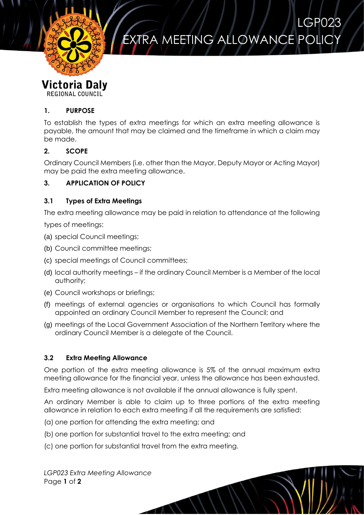

# EXTRA MEETING ALLOWANCE POLIC

LGP023

# **Victoria Daly**

**REGIONAL COUNCIL** 

#### **1. PURPOSE**

To establish the types of extra meetings for which an extra meeting allowance is payable, the amount that may be claimed and the timeframe in which a claim may be made.

#### **2. SCOPE**

Ordinary Council Members (i.e. other than the Mayor, Deputy Mayor or Acting Mayor) may be paid the extra meeting allowance.

## **3. APPLICATION OF POLICY**

#### **3.1 Types of Extra Meetings**

The extra meeting allowance may be paid in relation to attendance at the following

types of meetings:

- (a) special Council meetings;
- (b) Council committee meetings;
- (c) special meetings of Council committees;
- (d) local authority meetings if the ordinary Council Member is a Member of the local authority;
- (e) Council workshops or briefings;
- (f) meetings of external agencies or organisations to which Council has formally appointed an ordinary Council Member to represent the Council; and
- (g) meetings of the Local Government Association of the Northern Territory where the ordinary Council Member is a delegate of the Council.

#### **3.2 Extra Meeting Allowance**

One portion of the extra meeting allowance is 5% of the annual maximum extra meeting allowance for the financial year, unless the allowance has been exhausted.

Extra meeting allowance is not available if the annual allowance is fully spent.

An ordinary Member is able to claim up to three portions of the extra meeting allowance in relation to each extra meeting if all the requirements are satisfied:

- (a) one portion for attending the extra meeting; and
- (b) one portion for substantial travel to the extra meeting; and
- (c) one portion for substantial travel from the extra meeting.

*LGP023 Extra Meeting Allowance* Page **1** of **2**